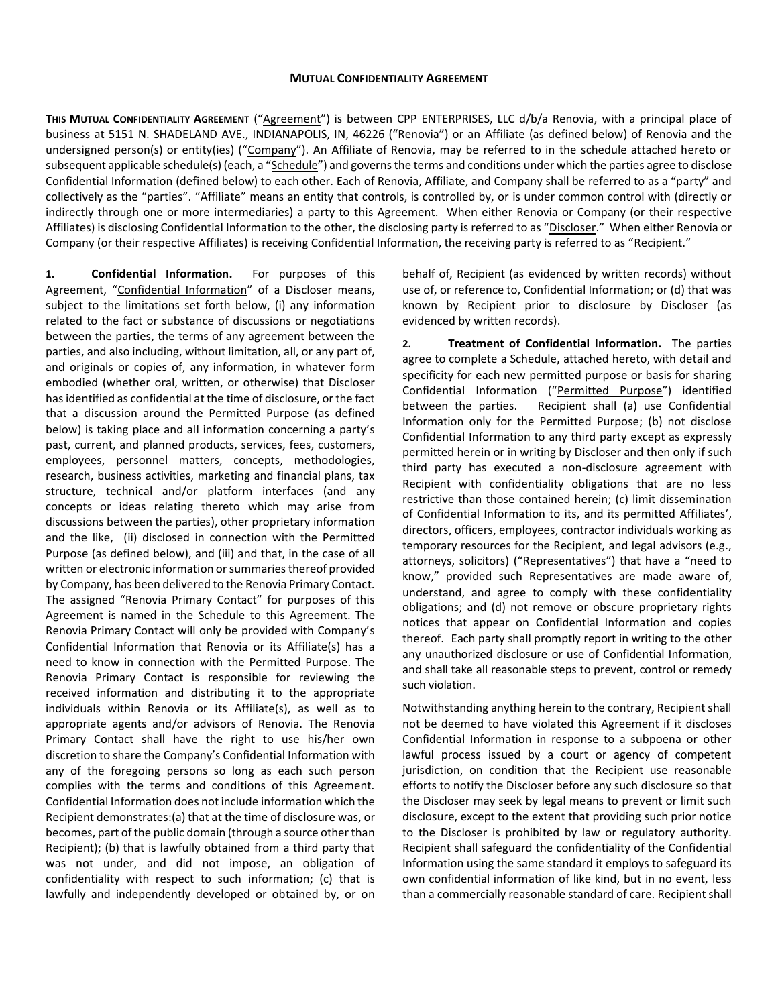## **MUTUAL CONFIDENTIALITY AGREEMENT**

**THIS MUTUAL CONFIDENTIALITY AGREEMENT** ("Agreement") is between CPP ENTERPRISES, LLC d/b/a Renovia, with a principal place of business at 5151 N. SHADELAND AVE., INDIANAPOLIS, IN, 46226 ("Renovia") or an Affiliate (as defined below) of Renovia and the undersigned person(s) or entity(ies) ("Company"). An Affiliate of Renovia, may be referred to in the schedule attached hereto or subsequent applicable schedule(s) (each, a "Schedule") and governs the terms and conditions under which the parties agree to disclose Confidential Information (defined below) to each other. Each of Renovia, Affiliate, and Company shall be referred to as a "party" and collectively as the "parties". "Affiliate" means an entity that controls, is controlled by, or is under common control with (directly or indirectly through one or more intermediaries) a party to this Agreement. When either Renovia or Company (or their respective Affiliates) is disclosing Confidential Information to the other, the disclosing party is referred to as "Discloser." When either Renovia or Company (or their respective Affiliates) is receiving Confidential Information, the receiving party is referred to as "Recipient."

**1. Confidential Information.** For purposes of this Agreement, "Confidential Information" of a Discloser means, subject to the limitations set forth below, (i) any information related to the fact or substance of discussions or negotiations between the parties, the terms of any agreement between the parties, and also including, without limitation, all, or any part of, and originals or copies of, any information, in whatever form embodied (whether oral, written, or otherwise) that Discloser has identified as confidential at the time of disclosure, or the fact that a discussion around the Permitted Purpose (as defined below) is taking place and all information concerning a party's past, current, and planned products, services, fees, customers, employees, personnel matters, concepts, methodologies, research, business activities, marketing and financial plans, tax structure, technical and/or platform interfaces (and any concepts or ideas relating thereto which may arise from discussions between the parties), other proprietary information and the like, (ii) disclosed in connection with the Permitted Purpose (as defined below), and (iii) and that, in the case of all written or electronic information or summaries thereof provided by Company, has been delivered to the Renovia Primary Contact. The assigned "Renovia Primary Contact" for purposes of this Agreement is named in the Schedule to this Agreement. The Renovia Primary Contact will only be provided with Company's Confidential Information that Renovia or its Affiliate(s) has a need to know in connection with the Permitted Purpose. The Renovia Primary Contact is responsible for reviewing the received information and distributing it to the appropriate individuals within Renovia or its Affiliate(s), as well as to appropriate agents and/or advisors of Renovia. The Renovia Primary Contact shall have the right to use his/her own discretion to share the Company's Confidential Information with any of the foregoing persons so long as each such person complies with the terms and conditions of this Agreement. Confidential Information does not include information which the Recipient demonstrates:(a) that at the time of disclosure was, or becomes, part of the public domain (through a source other than Recipient); (b) that is lawfully obtained from a third party that was not under, and did not impose, an obligation of confidentiality with respect to such information; (c) that is lawfully and independently developed or obtained by, or on behalf of, Recipient (as evidenced by written records) without use of, or reference to, Confidential Information; or (d) that was known by Recipient prior to disclosure by Discloser (as evidenced by written records).

**2. Treatment of Confidential Information.** The parties agree to complete a Schedule, attached hereto, with detail and specificity for each new permitted purpose or basis for sharing Confidential Information ("Permitted Purpose") identified between the parties. Recipient shall (a) use Confidential Information only for the Permitted Purpose; (b) not disclose Confidential Information to any third party except as expressly permitted herein or in writing by Discloser and then only if such third party has executed a non-disclosure agreement with Recipient with confidentiality obligations that are no less restrictive than those contained herein; (c) limit dissemination of Confidential Information to its, and its permitted Affiliates', directors, officers, employees, contractor individuals working as temporary resources for the Recipient, and legal advisors (e.g., attorneys, solicitors) ("Representatives") that have a "need to know," provided such Representatives are made aware of, understand, and agree to comply with these confidentiality obligations; and (d) not remove or obscure proprietary rights notices that appear on Confidential Information and copies thereof. Each party shall promptly report in writing to the other any unauthorized disclosure or use of Confidential Information, and shall take all reasonable steps to prevent, control or remedy such violation.

Notwithstanding anything herein to the contrary, Recipient shall not be deemed to have violated this Agreement if it discloses Confidential Information in response to a subpoena or other lawful process issued by a court or agency of competent jurisdiction, on condition that the Recipient use reasonable efforts to notify the Discloser before any such disclosure so that the Discloser may seek by legal means to prevent or limit such disclosure, except to the extent that providing such prior notice to the Discloser is prohibited by law or regulatory authority. Recipient shall safeguard the confidentiality of the Confidential Information using the same standard it employs to safeguard its own confidential information of like kind, but in no event, less than a commercially reasonable standard of care. Recipient shall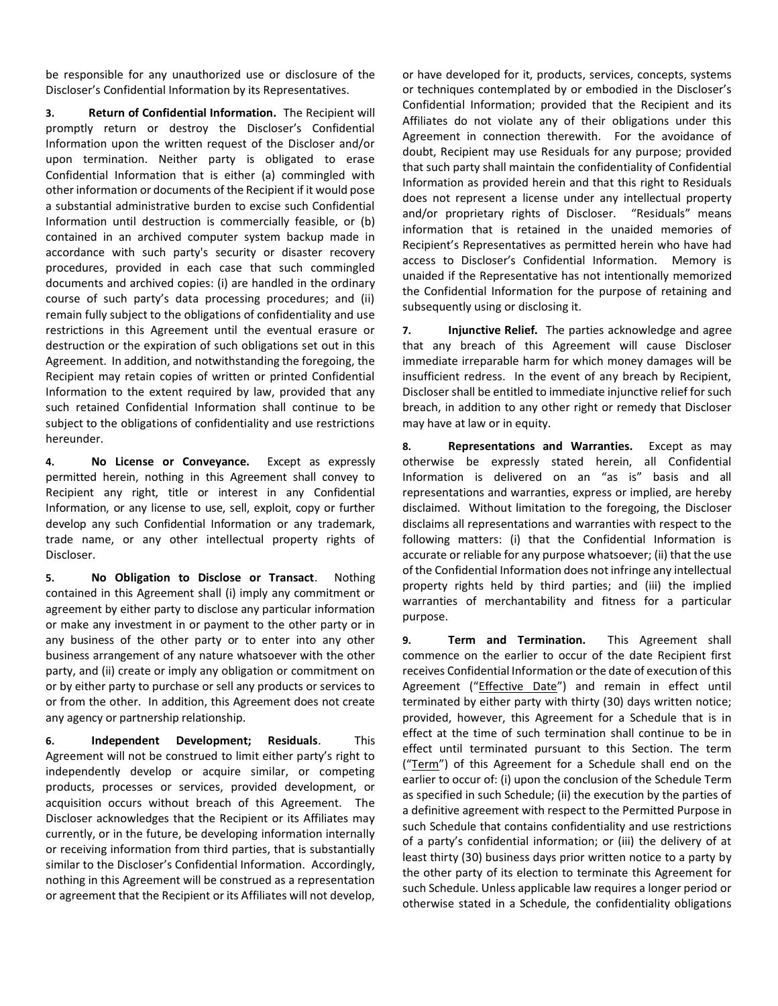be responsible for any unauthorized use or disclosure of the Discloser's Confidential Information by its Representatives.

**3. Return of Confidential Information.** The Recipient will promptly return or destroy the Discloser's Confidential Information upon the written request of the Discloser and/or upon termination. Neither party is obligated to erase Confidential Information that is either (a) commingled with other information or documents of the Recipient if it would pose a substantial administrative burden to excise such Confidential Information until destruction is commercially feasible, or (b) contained in an archived computer system backup made in accordance with such party's security or disaster recovery procedures, provided in each case that such commingled documents and archived copies: (i) are handled in the ordinary course of such party's data processing procedures; and (ii) remain fully subject to the obligations of confidentiality and use restrictions in this Agreement until the eventual erasure or destruction or the expiration of such obligations set out in this Agreement. In addition, and notwithstanding the foregoing, the Recipient may retain copies of written or printed Confidential Information to the extent required by law, provided that any such retained Confidential Information shall continue to be subject to the obligations of confidentiality and use restrictions hereunder.

**4. No License or Conveyance.** Except as expressly permitted herein, nothing in this Agreement shall convey to Recipient any right, title or interest in any Confidential Information, or any license to use, sell, exploit, copy or further develop any such Confidential Information or any trademark, trade name, or any other intellectual property rights of Discloser.

**5. No Obligation to Disclose or Transact**. Nothing contained in this Agreement shall (i) imply any commitment or agreement by either party to disclose any particular information or make any investment in or payment to the other party or in any business of the other party or to enter into any other business arrangement of any nature whatsoever with the other party, and (ii) create or imply any obligation or commitment on or by either party to purchase or sell any products or services to or from the other. In addition, this Agreement does not create any agency or partnership relationship.

**6. Independent Development; Residuals**. This Agreement will not be construed to limit either party's right to independently develop or acquire similar, or competing products, processes or services, provided development, or acquisition occurs without breach of this Agreement. The Discloser acknowledges that the Recipient or its Affiliates may currently, or in the future, be developing information internally or receiving information from third parties, that is substantially similar to the Discloser's Confidential Information. Accordingly, nothing in this Agreement will be construed as a representation or agreement that the Recipient or its Affiliates will not develop, or have developed for it, products, services, concepts, systems or techniques contemplated by or embodied in the Discloser's Confidential Information; provided that the Recipient and its Affiliates do not violate any of their obligations under this Agreement in connection therewith. For the avoidance of doubt, Recipient may use Residuals for any purpose; provided that such party shall maintain the confidentiality of Confidential Information as provided herein and that this right to Residuals does not represent a license under any intellectual property and/or proprietary rights of Discloser. "Residuals" means information that is retained in the unaided memories of Recipient's Representatives as permitted herein who have had access to Discloser's Confidential Information. Memory is unaided if the Representative has not intentionally memorized the Confidential Information for the purpose of retaining and subsequently using or disclosing it.

**7. Injunctive Relief.** The parties acknowledge and agree that any breach of this Agreement will cause Discloser immediate irreparable harm for which money damages will be insufficient redress. In the event of any breach by Recipient, Discloser shall be entitled to immediate injunctive relief for such breach, in addition to any other right or remedy that Discloser may have at law or in equity.

**8. Representations and Warranties.** Except as may otherwise be expressly stated herein, all Confidential Information is delivered on an "as is" basis and all representations and warranties, express or implied, are hereby disclaimed. Without limitation to the foregoing, the Discloser disclaims all representations and warranties with respect to the following matters: (i) that the Confidential Information is accurate or reliable for any purpose whatsoever; (ii) that the use of the Confidential Information does not infringe any intellectual property rights held by third parties; and (iii) the implied warranties of merchantability and fitness for a particular purpose.

**9. Term and Termination.** This Agreement shall commence on the earlier to occur of the date Recipient first receives Confidential Information or the date of execution of this Agreement ("Effective Date") and remain in effect until terminated by either party with thirty (30) days written notice; provided, however, this Agreement for a Schedule that is in effect at the time of such termination shall continue to be in effect until terminated pursuant to this Section. The term ("Term") of this Agreement for a Schedule shall end on the earlier to occur of: (i) upon the conclusion of the Schedule Term as specified in such Schedule; (ii) the execution by the parties of a definitive agreement with respect to the Permitted Purpose in such Schedule that contains confidentiality and use restrictions of a party's confidential information; or (iii) the delivery of at least thirty (30) business days prior written notice to a party by the other party of its election to terminate this Agreement for such Schedule. Unless applicable law requires a longer period or otherwise stated in a Schedule, the confidentiality obligations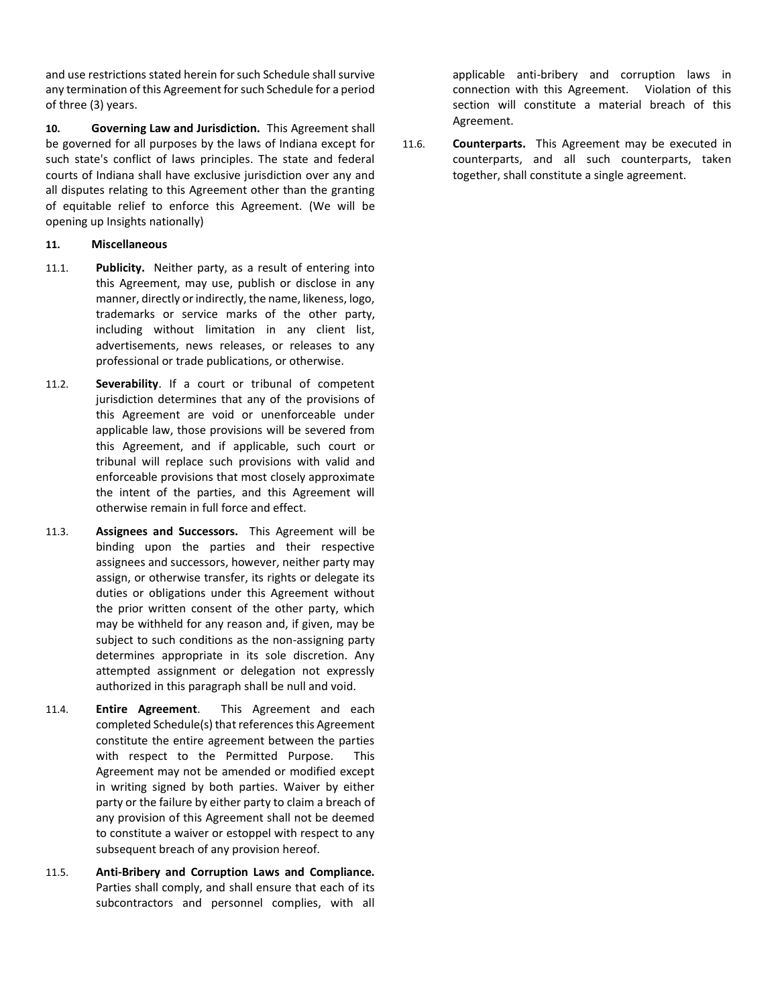and use restrictions stated herein for such Schedule shall survive any termination of this Agreement for such Schedule for a period of three (3) years.

**10. Governing Law and Jurisdiction.** This Agreement shall be governed for all purposes by the laws of Indiana except for such state's conflict of laws principles. The state and federal courts of Indiana shall have exclusive jurisdiction over any and all disputes relating to this Agreement other than the granting of equitable relief to enforce this Agreement. (We will be opening up Insights nationally)

## **11. Miscellaneous**

- 11.1. **Publicity.** Neither party, as a result of entering into this Agreement, may use, publish or disclose in any manner, directly or indirectly, the name, likeness, logo, trademarks or service marks of the other party, including without limitation in any client list, advertisements, news releases, or releases to any professional or trade publications, or otherwise.
- 11.2. **Severability**. If a court or tribunal of competent jurisdiction determines that any of the provisions of this Agreement are void or unenforceable under applicable law, those provisions will be severed from this Agreement, and if applicable, such court or tribunal will replace such provisions with valid and enforceable provisions that most closely approximate the intent of the parties, and this Agreement will otherwise remain in full force and effect.
- 11.3. **Assignees and Successors.** This Agreement will be binding upon the parties and their respective assignees and successors, however, neither party may assign, or otherwise transfer, its rights or delegate its duties or obligations under this Agreement without the prior written consent of the other party, which may be withheld for any reason and, if given, may be subject to such conditions as the non-assigning party determines appropriate in its sole discretion. Any attempted assignment or delegation not expressly authorized in this paragraph shall be null and void.
- 11.4. **Entire Agreement**. This Agreement and each completed Schedule(s) that references this Agreement constitute the entire agreement between the parties with respect to the Permitted Purpose. This Agreement may not be amended or modified except in writing signed by both parties. Waiver by either party or the failure by either party to claim a breach of any provision of this Agreement shall not be deemed to constitute a waiver or estoppel with respect to any subsequent breach of any provision hereof.
- 11.5. **Anti-Bribery and Corruption Laws and Compliance.**  Parties shall comply, and shall ensure that each of its subcontractors and personnel complies, with all

applicable anti-bribery and corruption laws in connection with this Agreement. Violation of this section will constitute a material breach of this Agreement.

11.6. **Counterparts.** This Agreement may be executed in counterparts, and all such counterparts, taken together, shall constitute a single agreement.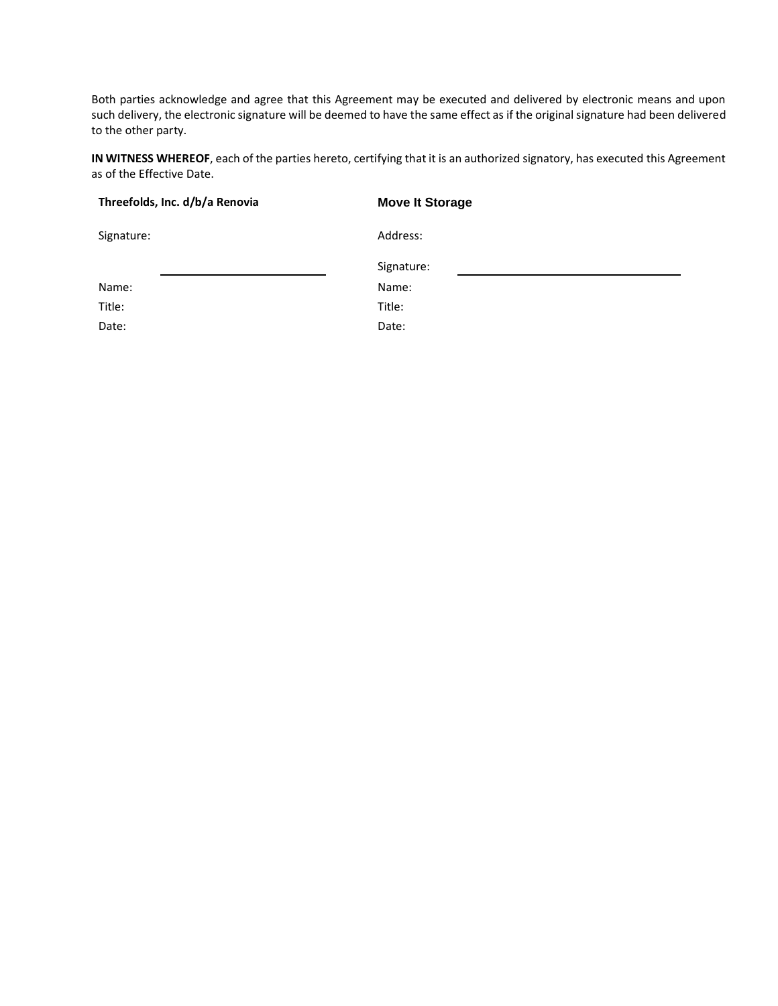Both parties acknowledge and agree that this Agreement may be executed and delivered by electronic means and upon such delivery, the electronic signature will be deemed to have the same effect as if the original signature had been delivered to the other party.

**IN WITNESS WHEREOF**, each of the parties hereto, certifying that it is an authorized signatory, has executed this Agreement as of the Effective Date.

| Threefolds, Inc. d/b/a Renovia | <b>Move It Storage</b> |  |
|--------------------------------|------------------------|--|
| Signature:                     | Address:               |  |
|                                | Signature:             |  |
| Name:                          | Name:                  |  |
| Title:                         | Title:                 |  |
| Date:                          | Date:                  |  |
|                                |                        |  |